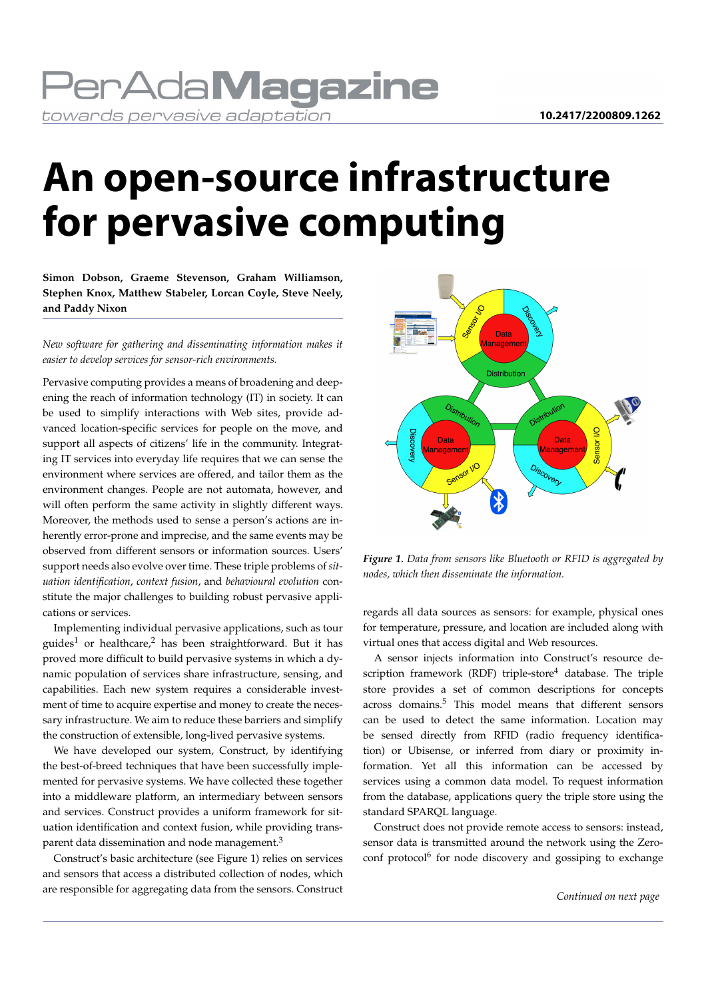### **PerAdaMagazine** towards pervasive adaptation

# **An open-source infrastructure for pervasive computing**

**Simon Dobson, Graeme Stevenson, Graham Williamson, Stephen Knox, Matthew Stabeler, Lorcan Coyle, Steve Neely, and Paddy Nixon**

*New software for gathering and disseminating information makes it easier to develop services for sensor-rich environments.*

Pervasive computing provides a means of broadening and deepening the reach of information technology (IT) in society. It can be used to simplify interactions with Web sites, provide advanced location-specific services for people on the move, and support all aspects of citizens' life in the community. Integrating IT services into everyday life requires that we can sense the environment where services are offered, and tailor them as the environment changes. People are not automata, however, and will often perform the same activity in slightly different ways. Moreover, the methods used to sense a person's actions are inherently error-prone and imprecise, and the same events may be observed from different sensors or information sources. Users' support needs also evolve over time. These triple problems of*situation identification*, *context fusion*, and *behavioural evolution* constitute the major challenges to building robust pervasive applications or services.

Implementing individual pervasive applications, such as tour guides<sup>1</sup> or healthcare,<sup>2</sup> has been straightforward. But it has proved more difficult to build pervasive systems in which a dynamic population of services share infrastructure, sensing, and capabilities. Each new system requires a considerable investment of time to acquire expertise and money to create the necessary infrastructure. We aim to reduce these barriers and simplify the construction of extensible, long-lived pervasive systems.

We have developed our system, Construct, by identifying the best-of-breed techniques that have been successfully implemented for pervasive systems. We have collected these together into a middleware platform, an intermediary between sensors and services. Construct provides a uniform framework for situation identification and context fusion, while providing transparent data dissemination and node management.<sup>3</sup>

Construct's basic architecture (see Figure 1) relies on services and sensors that access a distributed collection of nodes, which are responsible for aggregating data from the sensors. Construct



*Figure 1. Data from sensors like Bluetooth or RFID is aggregated by nodes, which then disseminate the information.*

regards all data sources as sensors: for example, physical ones for temperature, pressure, and location are included along with virtual ones that access digital and Web resources.

A sensor injects information into Construct's resource description framework (RDF) triple-store $4$  database. The triple store provides a set of common descriptions for concepts across domains.<sup>5</sup> This model means that different sensors can be used to detect the same information. Location may be sensed directly from RFID (radio frequency identification) or Ubisense, or inferred from diary or proximity information. Yet all this information can be accessed by services using a common data model. To request information from the database, applications query the triple store using the standard SPARQL language.

Construct does not provide remote access to sensors: instead, sensor data is transmitted around the network using the Zeroconf protocol<sup>6</sup> for node discovery and gossiping to exchange